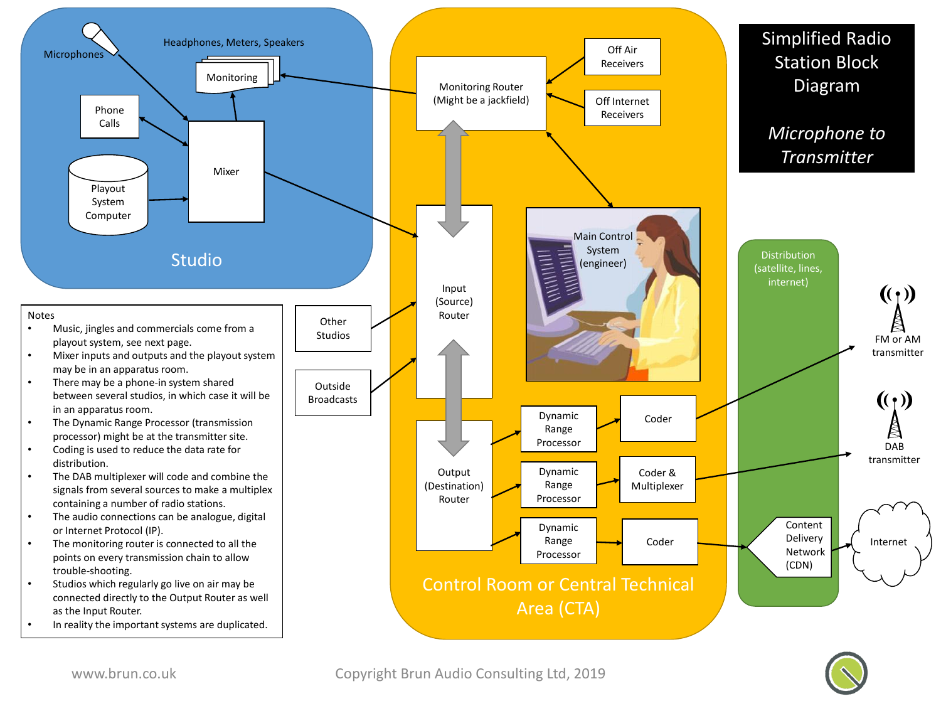